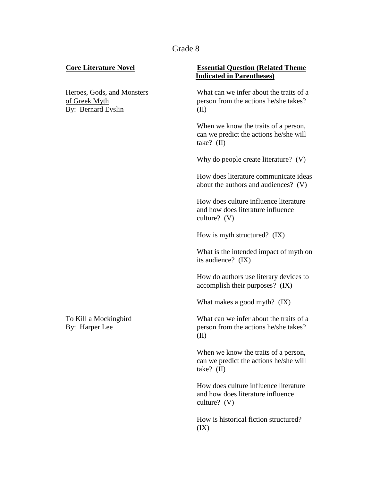## Grade 8

By: Bernard Evslin (II)

## **Core Literature Novel Essential Question (Related Theme Indicated in Parentheses)**

Heroes, Gods, and Monsters What can we infer about the traits of a of Greek Myth person from the actions he/she takes?

> When we know the traits of a person, can we predict the actions he/she will take? (II)

> Why do people create literature? (V)

How does literature communicate ideas about the authors and audiences? (V)

How does culture influence literature and how does literature influence culture? (V)

How is myth structured? (IX)

What is the intended impact of myth on its audience? (IX)

How do authors use literary devices to accomplish their purposes? (IX)

What makes a good myth? (IX)

To Kill a Mockingbird What can we infer about the traits of a By: Harper Lee person from the actions he/she takes? (II)

> When we know the traits of a person, can we predict the actions he/she will take? (II)

> How does culture influence literature and how does literature influence culture? (V)

How is historical fiction structured?  $(IX)$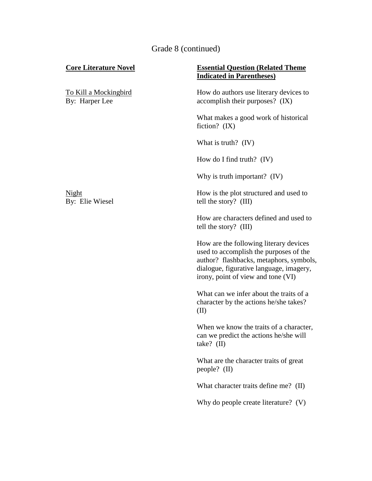# Grade 8 (continued)

| <b>Core Literature Novel</b>                   | <b>Essential Question (Related Theme)</b><br><b>Indicated in Parentheses)</b>                                                                                                                                |
|------------------------------------------------|--------------------------------------------------------------------------------------------------------------------------------------------------------------------------------------------------------------|
| <u>To Kill a Mockingbird</u><br>By: Harper Lee | How do authors use literary devices to<br>accomplish their purposes? (IX)                                                                                                                                    |
|                                                | What makes a good work of historical<br>fiction? $(IX)$                                                                                                                                                      |
|                                                | What is truth? (IV)                                                                                                                                                                                          |
|                                                | How do I find truth? $(IV)$                                                                                                                                                                                  |
|                                                | Why is truth important? $(IV)$                                                                                                                                                                               |
| Night<br>By: Elie Wiesel                       | How is the plot structured and used to<br>tell the story? (III)                                                                                                                                              |
|                                                | How are characters defined and used to<br>tell the story? (III)                                                                                                                                              |
|                                                | How are the following literary devices<br>used to accomplish the purposes of the<br>author? flashbacks, metaphors, symbols,<br>dialogue, figurative language, imagery,<br>irony, point of view and tone (VI) |
|                                                | What can we infer about the traits of a<br>character by the actions he/she takes?<br>(II)                                                                                                                    |
|                                                | When we know the traits of a character,<br>can we predict the actions he/she will<br>take? $(II)$                                                                                                            |
|                                                | What are the character traits of great<br>people? (II)                                                                                                                                                       |
|                                                | What character traits define me? (II)                                                                                                                                                                        |
|                                                | Why do people create literature? (V)                                                                                                                                                                         |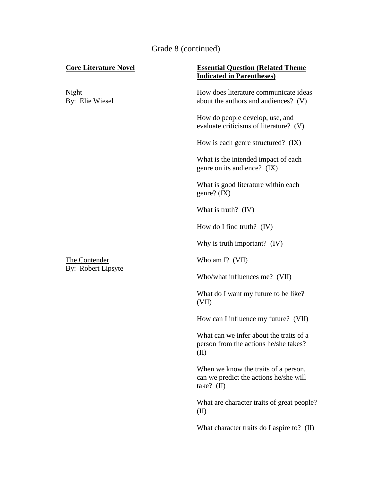# Grade 8 (continued)

| <b>Core Literature Novel</b>        | <b>Essential Question (Related Theme)</b><br><b>Indicated in Parentheses)</b>                  |
|-------------------------------------|------------------------------------------------------------------------------------------------|
| <u>Night</u><br>By: Elie Wiesel     | How does literature communicate ideas<br>about the authors and audiences? (V)                  |
| The Contender<br>By: Robert Lipsyte | How do people develop, use, and<br>evaluate criticisms of literature? (V)                      |
|                                     | How is each genre structured? (IX)                                                             |
|                                     | What is the intended impact of each<br>genre on its audience? (IX)                             |
|                                     | What is good literature within each<br>genre? $(IX)$                                           |
|                                     | What is truth? (IV)                                                                            |
|                                     | How do I find truth? $(IV)$                                                                    |
|                                     | Why is truth important? (IV)                                                                   |
|                                     | Who am I? (VII)                                                                                |
|                                     | Who/what influences me? (VII)                                                                  |
|                                     | What do I want my future to be like?<br>(VII)                                                  |
|                                     | How can I influence my future? (VII)                                                           |
|                                     | What can we infer about the traits of a<br>person from the actions he/she takes?<br>(II)       |
|                                     | When we know the traits of a person,<br>can we predict the actions he/she will<br>take? $(II)$ |
|                                     | What are character traits of great people?<br>(II)                                             |
|                                     | What character traits do I aspire to? (II)                                                     |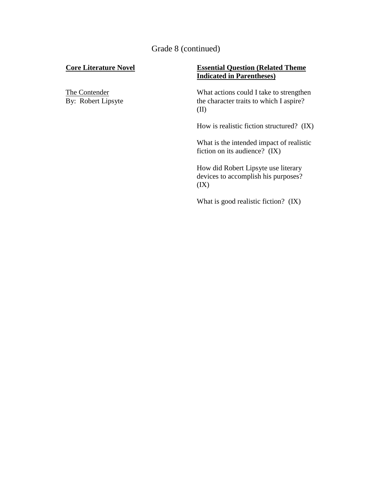Grade 8 (continued)

# **Core Literature Novel Essential Question (Related Theme Indicated in Parentheses)**

The Contender<br>By: Robert Lipsyte What actions could I take to strengthen<br>the character traits to which I aspire? the character traits to which I aspire? (II)

How is realistic fiction structured? (IX)

What is the intended impact of realistic fiction on its audience? (IX)

How did Robert Lipsyte use literary devices to accomplish his purposes?  $(IX)$ 

What is good realistic fiction? (IX)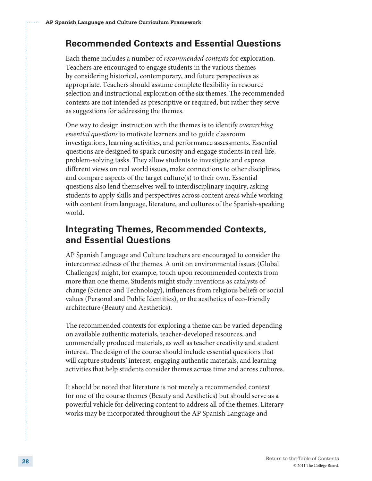# **Recommended Contexts and Essential Questions**

Each theme includes a number of *recommended contexts* for exploration. Teachers are encouraged to engage students in the various themes by considering historical, contemporary, and future perspectives as appropriate. Teachers should assume complete flexibility in resource selection and instructional exploration of the six themes. The recommended contexts are not intended as prescriptive or required, but rather they serve as suggestions for addressing the themes.

One way to design instruction with the themes is to identify *overarching essential questions* to motivate learners and to guide classroom investigations, learning activities, and performance assessments. Essential questions are designed to spark curiosity and engage students in real-life, problem-solving tasks. They allow students to investigate and express different views on real world issues, make connections to other disciplines, and compare aspects of the target culture(s) to their own. Essential questions also lend themselves well to interdisciplinary inquiry, asking students to apply skills and perspectives across content areas while working with content from language, literature, and cultures of the Spanish-speaking world.

# **Integrating Themes, Recommended Contexts, and Essential Questions**

AP Spanish Language and Culture teachers are encouraged to consider the interconnectedness of the themes. A unit on environmental issues (Global Challenges) might, for example, touch upon recommended contexts from more than one theme. Students might study inventions as catalysts of change (Science and Technology), influences from religious beliefs or social values (Personal and Public Identities), or the aesthetics of eco-friendly architecture (Beauty and Aesthetics).

The recommended contexts for exploring a theme can be varied depending on available authentic materials, teacher-developed resources, and commercially produced materials, as well as teacher creativity and student interest. The design of the course should include essential questions that will capture students' interest, engaging authentic materials, and learning activities that help students consider themes across time and across cultures.

It should be noted that literature is not merely a recommended context for one of the course themes (Beauty and Aesthetics) but should serve as a powerful vehicle for delivering content to address all of the themes. Literary works may be incorporated throughout the AP Spanish Language and

37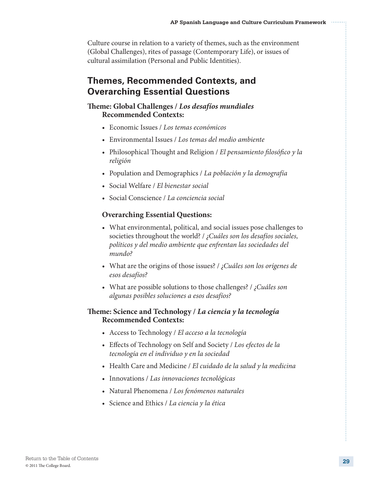Culture course in relation to a variety of themes, such as the environment (Global Challenges), rites of passage (Contemporary Life), or issues of cultural assimilation (Personal and Public Identities).

# **Themes, Recommended Contexts, and Overarching Essential Questions**

# **Theme: Global Challenges /** *Los desafíos mundiales* **Recommended Contexts:**

- • Economic Issues / *Los temas económicos*
- • Environmental Issues / *Los temas del medio ambiente*
- • Philosophical Thought and Religion / *El pensamiento filosófico y la religión*
- • Population and Demographics / *La población y la demografía*
- • Social Welfare / *El bienestar social*
- • Social Conscience / *La conciencia social*

# **Overarching Essential Questions:**

- What environmental, political, and social issues pose challenges to societies throughout the world? / *¿Cuáles son los desafíos sociales, políticos y del medio ambiente que enfrentan las sociedades del mundo?*
- • What are the origins of those issues? / *¿Cuáles son los orígenes de esos desafíos?*
- • What are possible solutions to those challenges? / *¿Cuáles son algunas posibles soluciones a esos desafíos?*

# **Theme: Science and Technology /** *La ciencia y la tecnología* **Recommended Contexts:**

- • Access to Technology / *El acceso a la tecnología*
- • Effects of Technology on Self and Society / *Los efectos de la tecnología en el individuo y en la sociedad*
- • Health Care and Medicine / *El cuidado de la salud y la medicina*
- • Innovations / *Las innovaciones tecnológicas*
- • Natural Phenomena / *Los fenómenos naturales*
- • Science and Ethics / *La ciencia y la ética*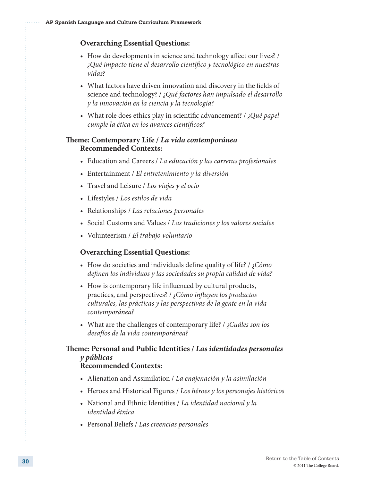#### **Overarching Essential Questions:**

- How do developments in science and technology affect our lives? / *¿Qué impacto tiene el desarrollo científico y tecnológico en nuestras vidas?*
- What factors have driven innovation and discovery in the fields of science and technology? / *¿Qué factores han impulsado el desarrollo y la innovación en la ciencia y la tecnología?*
- • What role does ethics play in scientific advancement? / *¿Qué papel cumple la ética en los avances científicos?*

## **Theme: Contemporary Life /** *La vida contemporánea* **Recommended Contexts:**

- • Education and Careers / *La educación y las carreras profesionales*
- • Entertainment / *El entretenimiento y la diversión*
- • Travel and Leisure / *Los viajes y el ocio*
- • Lifestyles / *Los estilos de vida*
- • Relationships / *Las relaciones personales*
- • Social Customs and Values / *Las tradiciones y los valores sociales*
- • Volunteerism / *El trabajo voluntario*

#### **Overarching Essential Questions:**

- • How do societies and individuals define quality of life? / ¿*Cómo definen los individuos y las sociedades su propia calidad de vida?*
- How is contemporary life influenced by cultural products, practices, and perspectives? / *¿Cómo influyen los productos culturales, las prácticas y las perspectivas de la gente en la vida contemporánea?*
- • What are the challenges of contemporary life? / *¿Cuáles son los desafíos de la vida contemporánea?*

# **Theme: Personal and Public Identities /** *Las identidades personales y públicas*

# **Recommended Contexts:**

- • Alienation and Assimilation / *La enajenación y la asimilación*
- • Heroes and Historical Figures / *Los héroes y los personajes históricos*
- • National and Ethnic Identities / *La identidad nacional y la identidad étnica*
- • Personal Beliefs / *Las creencias personales*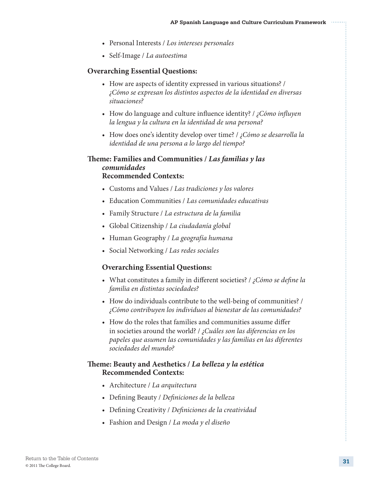- • Personal Interests / *Los intereses personales*
- • Self-Image / *La autoestima*

## **Overarching Essential Questions:**

- How are aspects of identity expressed in various situations? / *¿Cómo se expresan los distintos aspectos de la identidad en diversas situaciones?*
- • How do language and culture influence identity? / *¿Cómo influyen la lengua y la cultura en la identidad de una persona?*
- • How does one's identity develop over time? / *¿Cómo se desarrolla la identidad de una persona a lo largo del tiempo?*

## **Theme: Families and Communities /** *Las familias y las comunidades* **Recommended Contexts:**

- • Customs and Values / *Las tradiciones y los valores*
- • Education Communities / *Las comunidades educativas*
- • Family Structure / *La estructura de la familia*
- • Global Citizenship / *La ciudadanía global*
- • Human Geography / *La geografía humana*
- • Social Networking / *Las redes sociales*

### **Overarching Essential Questions:**

- • What constitutes a family in different societies? / *¿Cómo se define la familia en distintas sociedades?*
- How do individuals contribute to the well-being of communities? / *¿Cómo contribuyen los individuos al bienestar de las comunidades?*
- How do the roles that families and communities assume differ in societies around the world? / *¿Cuáles son las diferencias en los papeles que asumen las comunidades y las familias en las diferentes sociedades del mundo?*

## **Theme: Beauty and Aesthetics /** *La belleza y la estética* **Recommended Contexts:**

- • Architecture / *La arquitectura*
- • Defining Beauty / *Definiciones de la belleza*
- • Defining Creativity / *Definiciones de la creatividad*
- • Fashion and Design / *La moda y el diseño*